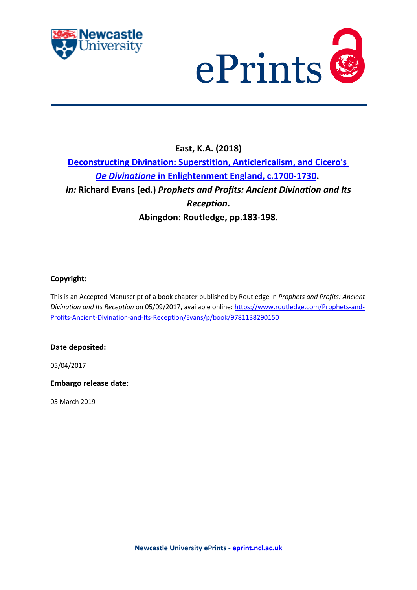



# **East, K.A. (2018) [Deconstructing Divination: Superstition, Anticlericalism, and Cicero's](https://myimpact.ncl.ac.uk/ViewPublication.aspx?id=224019)** *De Divinatione* **[in Enlightenment England, c.1700-1730.](https://myimpact.ncl.ac.uk/ViewPublication.aspx?id=224019)** *In:* **Richard Evans (ed.)** *Prophets and Profits: Ancient Divination and Its Reception***. Abingdon: Routledge, pp.183-198.**

## **Copyright:**

This is an Accepted Manuscript of a book chapter published by Routledge in *Prophets and Profits: Ancient Divination and Its Reception* on 05/09/2017, available online[: https://www.routledge.com/Prophets-and-](https://www.routledge.com/Prophets-and-Profits-Ancient-Divination-and-Its-Reception/Evans/p/book/9781138290150)[Profits-Ancient-Divination-and-Its-Reception/Evans/p/book/9781138290150](https://www.routledge.com/Prophets-and-Profits-Ancient-Divination-and-Its-Reception/Evans/p/book/9781138290150)

#### **Date deposited:**

05/04/2017

**Embargo release date:**

05 March 2019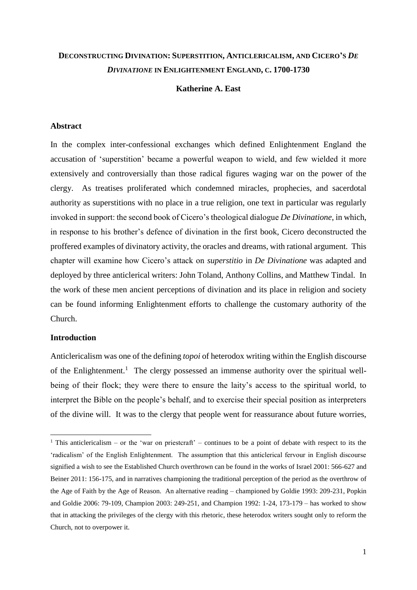## **DECONSTRUCTING DIVINATION: SUPERSTITION, ANTICLERICALISM, AND CICERO'S** *DE DIVINATIONE* **IN ENLIGHTENMENT ENGLAND, C. 1700-1730**

#### **Katherine A. East**

#### **Abstract**

In the complex inter-confessional exchanges which defined Enlightenment England the accusation of 'superstition' became a powerful weapon to wield, and few wielded it more extensively and controversially than those radical figures waging war on the power of the clergy. As treatises proliferated which condemned miracles, prophecies, and sacerdotal authority as superstitions with no place in a true religion, one text in particular was regularly invoked in support: the second book of Cicero's theological dialogue *De Divinatione*, in which, in response to his brother's defence of divination in the first book, Cicero deconstructed the proffered examples of divinatory activity, the oracles and dreams, with rational argument. This chapter will examine how Cicero's attack on *superstitio* in *De Divinatione* was adapted and deployed by three anticlerical writers: John Toland, Anthony Collins, and Matthew Tindal. In the work of these men ancient perceptions of divination and its place in religion and society can be found informing Enlightenment efforts to challenge the customary authority of the Church.

### **Introduction**

1

Anticlericalism was one of the defining *topoi* of heterodox writing within the English discourse of the Enlightenment.<sup>1</sup> The clergy possessed an immense authority over the spiritual wellbeing of their flock; they were there to ensure the laity's access to the spiritual world, to interpret the Bible on the people's behalf, and to exercise their special position as interpreters of the divine will. It was to the clergy that people went for reassurance about future worries,

<sup>&</sup>lt;sup>1</sup> This anticlericalism – or the 'war on priestcraft' – continues to be a point of debate with respect to its the 'radicalism' of the English Enlightenment. The assumption that this anticlerical fervour in English discourse signified a wish to see the Established Church overthrown can be found in the works of Israel 2001: 566-627 and Beiner 2011: 156-175, and in narratives championing the traditional perception of the period as the overthrow of the Age of Faith by the Age of Reason. An alternative reading – championed by Goldie 1993: 209-231, Popkin and Goldie 2006: 79-109, Champion 2003: 249-251, and Champion 1992: 1-24, 173-179 – has worked to show that in attacking the privileges of the clergy with this rhetoric, these heterodox writers sought only to reform the Church, not to overpower it.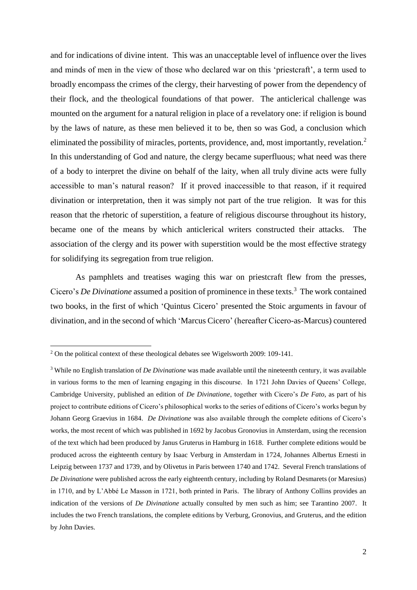and for indications of divine intent. This was an unacceptable level of influence over the lives and minds of men in the view of those who declared war on this 'priestcraft', a term used to broadly encompass the crimes of the clergy, their harvesting of power from the dependency of their flock, and the theological foundations of that power. The anticlerical challenge was mounted on the argument for a natural religion in place of a revelatory one: if religion is bound by the laws of nature, as these men believed it to be, then so was God, a conclusion which eliminated the possibility of miracles, portents, providence, and, most importantly, revelation. $2$ In this understanding of God and nature, the clergy became superfluous; what need was there of a body to interpret the divine on behalf of the laity, when all truly divine acts were fully accessible to man's natural reason? If it proved inaccessible to that reason, if it required divination or interpretation, then it was simply not part of the true religion. It was for this reason that the rhetoric of superstition, a feature of religious discourse throughout its history, became one of the means by which anticlerical writers constructed their attacks. The association of the clergy and its power with superstition would be the most effective strategy for solidifying its segregation from true religion.

As pamphlets and treatises waging this war on priestcraft flew from the presses, Cicero's *De Divinatione* assumed a position of prominence in these texts.<sup>3</sup> The work contained two books, in the first of which 'Quintus Cicero' presented the Stoic arguments in favour of divination, and in the second of which 'Marcus Cicero' (hereafter Cicero-as-Marcus) countered

<sup>&</sup>lt;sup>2</sup> On the political context of these theological debates see Wigelsworth 2009: 109-141.

<sup>3</sup> While no English translation of *De Divinatione* was made available until the nineteenth century, it was available in various forms to the men of learning engaging in this discourse. In 1721 John Davies of Queens' College, Cambridge University, published an edition of *De Divinatione*, together with Cicero's *De Fato*, as part of his project to contribute editions of Cicero's philosophical works to the series of editions of Cicero's works begun by Johann Georg Graevius in 1684. *De Divinatione* was also available through the complete editions of Cicero's works, the most recent of which was published in 1692 by Jacobus Gronovius in Amsterdam, using the recension of the text which had been produced by Janus Gruterus in Hamburg in 1618. Further complete editions would be produced across the eighteenth century by Isaac Verburg in Amsterdam in 1724, Johannes Albertus Ernesti in Leipzig between 1737 and 1739, and by Olivetus in Paris between 1740 and 1742. Several French translations of *De Divinatione* were published across the early eighteenth century, including by Roland Desmarets (or Maresius) in 1710, and by L'Abbé Le Masson in 1721, both printed in Paris. The library of Anthony Collins provides an indication of the versions of *De Divinatione* actually consulted by men such as him; see Tarantino 2007. It includes the two French translations, the complete editions by Verburg, Gronovius, and Gruterus, and the edition by John Davies.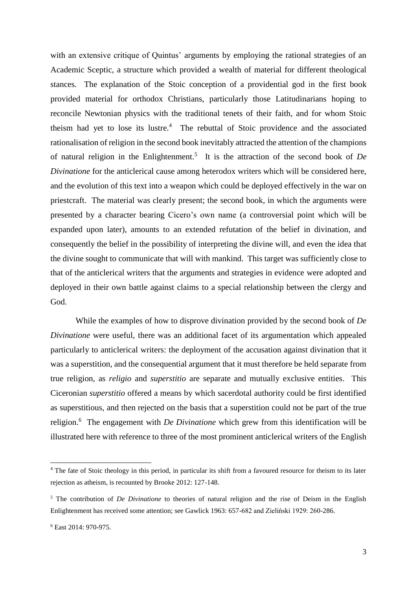with an extensive critique of Quintus' arguments by employing the rational strategies of an Academic Sceptic, a structure which provided a wealth of material for different theological stances. The explanation of the Stoic conception of a providential god in the first book provided material for orthodox Christians, particularly those Latitudinarians hoping to reconcile Newtonian physics with the traditional tenets of their faith, and for whom Stoic theism had yet to lose its lustre.<sup>4</sup> The rebuttal of Stoic providence and the associated rationalisation of religion in the second book inevitably attracted the attention of the champions of natural religion in the Enlightenment.<sup>5</sup> It is the attraction of the second book of *De Divinatione* for the anticlerical cause among heterodox writers which will be considered here, and the evolution of this text into a weapon which could be deployed effectively in the war on priestcraft. The material was clearly present; the second book, in which the arguments were presented by a character bearing Cicero's own name (a controversial point which will be expanded upon later), amounts to an extended refutation of the belief in divination, and consequently the belief in the possibility of interpreting the divine will, and even the idea that the divine sought to communicate that will with mankind. This target was sufficiently close to that of the anticlerical writers that the arguments and strategies in evidence were adopted and deployed in their own battle against claims to a special relationship between the clergy and God.

While the examples of how to disprove divination provided by the second book of *De Divinatione* were useful, there was an additional facet of its argumentation which appealed particularly to anticlerical writers: the deployment of the accusation against divination that it was a superstition, and the consequential argument that it must therefore be held separate from true religion, as *religio* and *superstitio* are separate and mutually exclusive entities. This Ciceronian *superstitio* offered a means by which sacerdotal authority could be first identified as superstitious, and then rejected on the basis that a superstition could not be part of the true religion.<sup>6</sup> The engagement with *De Divinatione* which grew from this identification will be illustrated here with reference to three of the most prominent anticlerical writers of the English

<sup>&</sup>lt;sup>4</sup> The fate of Stoic theology in this period, in particular its shift from a favoured resource for theism to its later rejection as atheism, is recounted by Brooke 2012: 127-148.

<sup>&</sup>lt;sup>5</sup> The contribution of *De Divinatione* to theories of natural religion and the rise of Deism in the English Enlightenment has received some attention; see Gawlick 1963: 657-682 and Zieliński 1929: 260-286.

<sup>6</sup> East 2014: 970-975.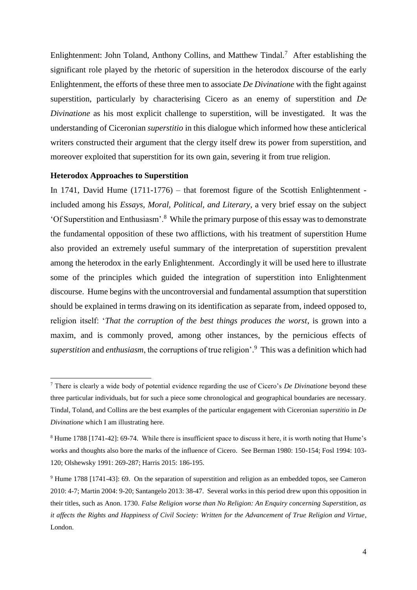Enlightenment: John Toland, Anthony Collins, and Matthew Tindal.<sup>7</sup> After establishing the significant role played by the rhetoric of supersition in the heterodox discourse of the early Enlightenment, the efforts of these three men to associate *De Divinatione* with the fight against superstition, particularly by characterising Cicero as an enemy of superstition and *De Divinatione* as his most explicit challenge to superstition, will be investigated. It was the understanding of Ciceronian *superstitio* in this dialogue which informed how these anticlerical writers constructed their argument that the clergy itself drew its power from superstition, and moreover exploited that superstition for its own gain, severing it from true religion.

#### **Heterodox Approaches to Superstition**

**.** 

In 1741, David Hume (1711-1776) – that foremost figure of the Scottish Enlightenment included among his *Essays, Moral, Political, and Literary*, a very brief essay on the subject 'Of Superstition and Enthusiasm'.<sup>8</sup> While the primary purpose of this essay was to demonstrate the fundamental opposition of these two afflictions, with his treatment of superstition Hume also provided an extremely useful summary of the interpretation of superstition prevalent among the heterodox in the early Enlightenment. Accordingly it will be used here to illustrate some of the principles which guided the integration of superstition into Enlightenment discourse. Hume begins with the uncontroversial and fundamental assumption that superstition should be explained in terms drawing on its identification as separate from, indeed opposed to, religion itself: '*That the corruption of the best things produces the worst*, is grown into a maxim, and is commonly proved, among other instances, by the pernicious effects of *superstition* and *enthusiasm*, the corruptions of true religion'. 9 This was a definition which had

<sup>7</sup> There is clearly a wide body of potential evidence regarding the use of Cicero's *De Divinatione* beyond these three particular individuals, but for such a piece some chronological and geographical boundaries are necessary. Tindal, Toland, and Collins are the best examples of the particular engagement with Ciceronian *superstitio* in *De Divinatione* which I am illustrating here.

<sup>8</sup> Hume 1788 [1741-42]: 69-74. While there is insufficient space to discuss it here, it is worth noting that Hume's works and thoughts also bore the marks of the influence of Cicero. See Berman 1980: 150-154; Fosl 1994: 103- 120; Olshewsky 1991: 269-287; Harris 2015: 186-195.

<sup>9</sup> Hume 1788 [1741-43]: 69. On the separation of superstition and religion as an embedded topos, see Cameron 2010: 4-7; Martin 2004: 9-20; Santangelo 2013: 38-47. Several works in this period drew upon this opposition in their titles, such as Anon. 1730. *False Religion worse than No Religion: An Enquiry concerning Superstition, as it affects the Rights and Happiness of Civil Society: Written for the Advancement of True Religion and Virtue*, London.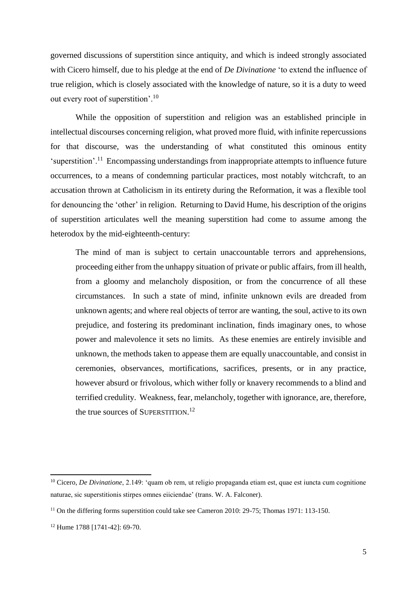governed discussions of superstition since antiquity, and which is indeed strongly associated with Cicero himself, due to his pledge at the end of *De Divinatione* 'to extend the influence of true religion, which is closely associated with the knowledge of nature, so it is a duty to weed out every root of superstition'.<sup>10</sup>

While the opposition of superstition and religion was an established principle in intellectual discourses concerning religion, what proved more fluid, with infinite repercussions for that discourse, was the understanding of what constituted this ominous entity 'superstition'.<sup>11</sup> Encompassing understandings from inappropriate attempts to influence future occurrences, to a means of condemning particular practices, most notably witchcraft, to an accusation thrown at Catholicism in its entirety during the Reformation, it was a flexible tool for denouncing the 'other' in religion. Returning to David Hume, his description of the origins of superstition articulates well the meaning superstition had come to assume among the heterodox by the mid-eighteenth-century:

The mind of man is subject to certain unaccountable terrors and apprehensions, proceeding either from the unhappy situation of private or public affairs, from ill health, from a gloomy and melancholy disposition, or from the concurrence of all these circumstances. In such a state of mind, infinite unknown evils are dreaded from unknown agents; and where real objects of terror are wanting, the soul, active to its own prejudice, and fostering its predominant inclination, finds imaginary ones, to whose power and malevolence it sets no limits. As these enemies are entirely invisible and unknown, the methods taken to appease them are equally unaccountable, and consist in ceremonies, observances, mortifications, sacrifices, presents, or in any practice, however absurd or frivolous, which wither folly or knavery recommends to a blind and terrified credulity. Weakness, fear, melancholy, together with ignorance, are, therefore, the true sources of SUPERSTITION.<sup>12</sup>

<sup>&</sup>lt;sup>10</sup> Cicero, *De Divinatione*, 2.149: 'quam ob rem, ut religio propaganda etiam est, quae est iuncta cum cognitione naturae, sic superstitionis stirpes omnes eiiciendae' (trans. W. A. Falconer).

<sup>&</sup>lt;sup>11</sup> On the differing forms superstition could take see Cameron 2010: 29-75; Thomas 1971: 113-150.

<sup>12</sup> Hume 1788 [1741-42]: 69-70.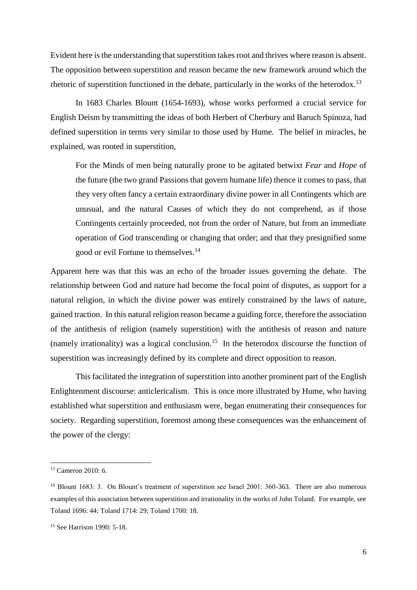Evident here is the understanding that superstition takes root and thrives where reason is absent. The opposition between superstition and reason became the new framework around which the rhetoric of superstition functioned in the debate, particularly in the works of the heterodox.<sup>13</sup>

In 1683 Charles Blount (1654-1693), whose works performed a crucial service for English Deism by transmitting the ideas of both Herbert of Cherbury and Baruch Spinoza, had defined superstition in terms very similar to those used by Hume. The belief in miracles, he explained, was rooted in superstition,

For the Minds of men being naturally prone to be agitated betwixt *Fear* and *Hope* of the future (the two grand Passions that govern humane life) thence it comes to pass, that they very often fancy a certain extraordinary divine power in all Contingents which are unusual, and the natural Causes of which they do not comprehend, as if those Contingents certainly proceeded, not from the order of Nature, but from an immediate operation of God transcending or changing that order; and that they presignified some good or evil Fortune to themselves. 14

Apparent here was that this was an echo of the broader issues governing the debate. The relationship between God and nature had become the focal point of disputes, as support for a natural religion, in which the divine power was entirely constrained by the laws of nature, gained traction. In this natural religion reason became a guiding force, therefore the association of the antithesis of religion (namely superstition) with the antithesis of reason and nature (namely irrationality) was a logical conclusion. 15 In the heterodox discourse the function of superstition was increasingly defined by its complete and direct opposition to reason.

This facilitated the integration of superstition into another prominent part of the English Enlightenment discourse: anticlericalism. This is once more illustrated by Hume, who having established what superstition and enthusiasm were, began enumerating their consequences for society. Regarding superstition, foremost among these consequences was the enhancement of the power of the clergy:

<sup>13</sup> Cameron 2010: 6.

<sup>&</sup>lt;sup>14</sup> Blount 1683: 3. On Blount's treatment of superstition see Israel 2001: 360-363. There are also numerous examples of this association between superstition and irrationality in the works of John Toland. For example, see Toland 1696: 44; Toland 1714: 29; Toland 1700: 18.

<sup>15</sup> See Harrison 1990: 5-18.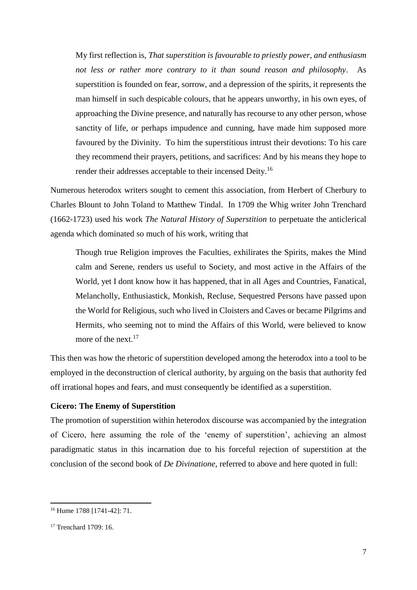My first reflection is, *That superstition is favourable to priestly power, and enthusiasm not less or rather more contrary to it than sound reason and philosophy*. As superstition is founded on fear, sorrow, and a depression of the spirits, it represents the man himself in such despicable colours, that he appears unworthy, in his own eyes, of approaching the Divine presence, and naturally has recourse to any other person, whose sanctity of life, or perhaps impudence and cunning, have made him supposed more favoured by the Divinity. To him the superstitious intrust their devotions: To his care they recommend their prayers, petitions, and sacrifices: And by his means they hope to render their addresses acceptable to their incensed Deity.<sup>16</sup>

Numerous heterodox writers sought to cement this association, from Herbert of Cherbury to Charles Blount to John Toland to Matthew Tindal. In 1709 the Whig writer John Trenchard (1662-1723) used his work *The Natural History of Superstition* to perpetuate the anticlerical agenda which dominated so much of his work, writing that

Though true Religion improves the Faculties, exhilirates the Spirits, makes the Mind calm and Serene, renders us useful to Society, and most active in the Affairs of the World, yet I dont know how it has happened, that in all Ages and Countries, Fanatical, Melancholly, Enthusiastick, Monkish, Recluse, Sequestred Persons have passed upon the World for Religious, such who lived in Cloisters and Caves or became Pilgrims and Hermits, who seeming not to mind the Affairs of this World, were believed to know more of the next. 17

This then was how the rhetoric of superstition developed among the heterodox into a tool to be employed in the deconstruction of clerical authority, by arguing on the basis that authority fed off irrational hopes and fears, and must consequently be identified as a superstition.

#### **Cicero: The Enemy of Superstition**

The promotion of superstition within heterodox discourse was accompanied by the integration of Cicero, here assuming the role of the 'enemy of superstition', achieving an almost paradigmatic status in this incarnation due to his forceful rejection of superstition at the conclusion of the second book of *De Divinatione*, referred to above and here quoted in full:

<sup>16</sup> Hume 1788 [1741-42]: 71.

<sup>17</sup> Trenchard 1709: 16.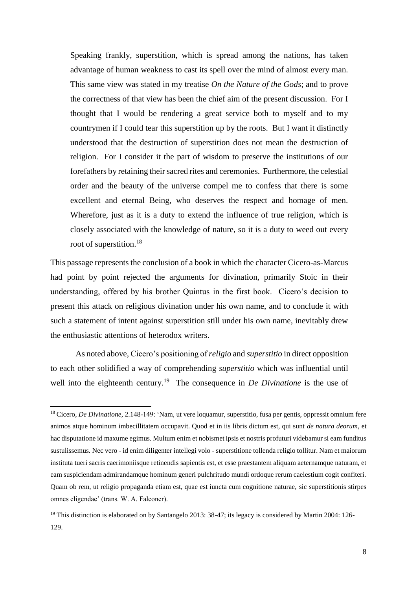Speaking frankly, superstition, which is spread among the nations, has taken advantage of human weakness to cast its spell over the mind of almost every man. This same view was stated in my treatise *On the Nature of the Gods*; and to prove the correctness of that view has been the chief aim of the present discussion. For I thought that I would be rendering a great service both to myself and to my countrymen if I could tear this superstition up by the roots. But I want it distinctly understood that the destruction of superstition does not mean the destruction of religion. For I consider it the part of wisdom to preserve the institutions of our forefathers by retaining their sacred rites and ceremonies. Furthermore, the celestial order and the beauty of the universe compel me to confess that there is some excellent and eternal Being, who deserves the respect and homage of men. Wherefore, just as it is a duty to extend the influence of true religion, which is closely associated with the knowledge of nature, so it is a duty to weed out every root of superstition.<sup>18</sup>

This passage represents the conclusion of a book in which the character Cicero-as-Marcus had point by point rejected the arguments for divination, primarily Stoic in their understanding, offered by his brother Quintus in the first book. Cicero's decision to present this attack on religious divination under his own name, and to conclude it with such a statement of intent against superstition still under his own name, inevitably drew the enthusiastic attentions of heterodox writers.

As noted above, Cicero's positioning of *religio* and *superstitio* in direct opposition to each other solidified a way of comprehending *superstitio* which was influential until well into the eighteenth century.<sup>19</sup> The consequence in *De Divinatione* is the use of

<sup>&</sup>lt;sup>18</sup> Cicero, *De Divinatione*, 2.148-149: 'Nam, ut vere loquamur, superstitio, fusa per gentis, oppressit omnium fere animos atque hominum imbecillitatem occupavit. Quod et in iis libris dictum est, qui sunt *de natura deorum*, et hac disputatione id maxume egimus. Multum enim et nobismet ipsis et nostris profuturi videbamur si eam funditus sustulissemus. Nec vero - id enim diligenter intellegi volo - superstitione tollenda religio tollitur. Nam et maiorum instituta tueri sacris caerimoniisque retinendis sapientis est, et esse praestantem aliquam aeternamque naturam, et eam suspiciendam admirandamque hominum generi pulchritudo mundi ordoque rerum caelestium cogit confiteri. Quam ob rem, ut religio propaganda etiam est, quae est iuncta cum cognitione naturae, sic superstitionis stirpes omnes eligendae' (trans. W. A. Falconer).

<sup>&</sup>lt;sup>19</sup> This distinction is elaborated on by Santangelo 2013: 38-47; its legacy is considered by Martin 2004: 126-129.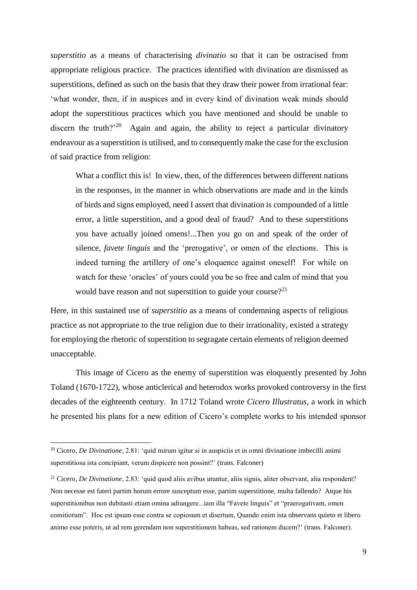*superstitio* as a means of characterising *divinatio* so that it can be ostracised from appropriate religious practice. The practices identified with divination are dismissed as superstitions, defined as such on the basis that they draw their power from irrational fear: 'what wonder, then, if in auspices and in every kind of divination weak minds should adopt the superstitious practices which you have mentioned and should be unable to discern the truth?<sup>'20</sup> Again and again, the ability to reject a particular divinatory endeavour as a superstition is utilised, and to consequently make the case for the exclusion of said practice from religion:

What a conflict this is! In view, then, of the differences between different nations in the responses, in the manner in which observations are made and in the kinds of birds and signs employed, need I assert that divination is compounded of a little error, a little superstition, and a good deal of fraud? And to these superstitions you have actually joined omens!...Then you go on and speak of the order of silence, *favete linguis* and the 'prerogative', or omen of the elections. This is indeed turning the artillery of one's eloquence against oneself! For while on watch for these 'oracles' of yours could you be so free and calm of mind that you would have reason and not superstition to guide your course?<sup>21</sup>

Here, in this sustained use of *superstitio* as a means of condemning aspects of religious practice as not appropriate to the true religion due to their irrationality, existed a strategy for employing the rhetoric of superstition to segragate certain elements of religion deemed unacceptable.

This image of Cicero as the enemy of superstition was eloquently presented by John Toland (1670-1722), whose anticlerical and heterodox works provoked controversy in the first decades of the eighteenth century. In 1712 Toland wrote *Cicero Illustratus*, a work in which he presented his plans for a new edition of Cicero's complete works to his intended sponsor

<sup>20</sup> Cicero, *De Divinatione*, 2.81: 'quid mirum igitur si in auspiciis et in omni divinatione imbecilli animi superstitiosa ista concipiant, verum dispicere non possint?' (trans. Falconer)

<sup>21</sup> Cicero, *De Divinatione*, 2.83: 'quid quod aliis avibus utuntur, aliis signis, aliter observant, alia respondent? Non necesse est fateri partim horum errore susceptum esse, partim superstitione, multa fallendo? Atque his superstitionibus non dubitasti etiam omina adiungere...iam illa "Favete linguis" et "praerogativam, omen comitiorum". Hoc est ipsum esse contra se copiosum et disertum, Quando enim ista observans quieto et libero animo esse poteris, ut ad rem gerendam non superstitionem habeas, sed rationem ducem?' (trans. Falconer).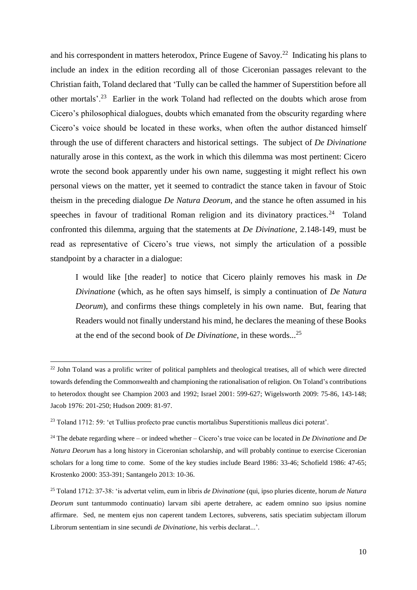and his correspondent in matters heterodox, Prince Eugene of Savoy.<sup>22</sup> Indicating his plans to include an index in the edition recording all of those Ciceronian passages relevant to the Christian faith, Toland declared that 'Tully can be called the hammer of Superstition before all other mortals'.<sup>23</sup> Earlier in the work Toland had reflected on the doubts which arose from Cicero's philosophical dialogues, doubts which emanated from the obscurity regarding where Cicero's voice should be located in these works, when often the author distanced himself through the use of different characters and historical settings. The subject of *De Divinatione* naturally arose in this context, as the work in which this dilemma was most pertinent: Cicero wrote the second book apparently under his own name, suggesting it might reflect his own personal views on the matter, yet it seemed to contradict the stance taken in favour of Stoic theism in the preceding dialogue *De Natura Deorum*, and the stance he often assumed in his speeches in favour of traditional Roman religion and its divinatory practices.<sup>24</sup> Toland confronted this dilemma, arguing that the statements at *De Divinatione*, 2.148-149, must be read as representative of Cicero's true views, not simply the articulation of a possible standpoint by a character in a dialogue:

I would like [the reader] to notice that Cicero plainly removes his mask in *De Divinatione* (which, as he often says himself, is simply a continuation of *De Natura Deorum*), and confirms these things completely in his own name. But, fearing that Readers would not finally understand his mind, he declares the meaning of these Books at the end of the second book of *De Divinatione*, in these words...<sup>25</sup>

**.** 

<sup>&</sup>lt;sup>22</sup> John Toland was a prolific writer of political pamphlets and theological treatises, all of which were directed towards defending the Commonwealth and championing the rationalisation of religion. On Toland's contributions to heterodox thought see Champion 2003 and 1992; Israel 2001: 599-627; Wigelsworth 2009: 75-86, 143-148; Jacob 1976: 201-250; Hudson 2009: 81-97.

<sup>23</sup> Toland 1712: 59: 'et Tullius profecto prae cunctis mortalibus Superstitionis malleus dici poterat'.

<sup>24</sup> The debate regarding where – or indeed whether – Cicero's true voice can be located in *De Divinatione* and *De Natura Deorum* has a long history in Ciceronian scholarship, and will probably continue to exercise Ciceronian scholars for a long time to come. Some of the key studies include Beard 1986: 33-46; Schofield 1986: 47-65; Krostenko 2000: 353-391; Santangelo 2013: 10-36.

<sup>25</sup> Toland 1712: 37-38: 'is advertat velim, eum in libris *de Divinatione* (qui, ipso pluries dicente, horum *de Natura Deorum* sunt tantummodo continuatio) larvam sibi aperte detrahere, ac eadem omnino suo ipsius nomine affirmare. Sed, ne mentem ejus non caperent tandem Lectores, subverens, satis speciatim subjectam illorum Librorum sententiam in sine secundi *de Divinatione*, his verbis declarat...'.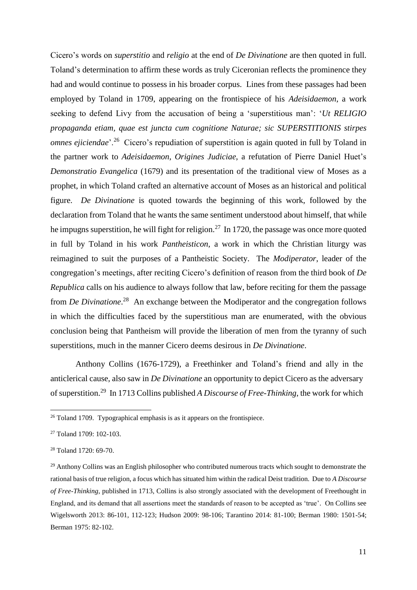Cicero's words on *superstitio* and *religio* at the end of *De Divinatione* are then quoted in full. Toland's determination to affirm these words as truly Ciceronian reflects the prominence they had and would continue to possess in his broader corpus. Lines from these passages had been employed by Toland in 1709, appearing on the frontispiece of his *Adeisidaemon*, a work seeking to defend Livy from the accusation of being a 'superstitious man': '*Ut RELIGIO propaganda etiam, quae est juncta cum cognitione Naturae; sic SUPERSTITIONIS stirpes*  omnes ejiciendae<sup>'. 26</sup> Cicero's repudiation of superstition is again quoted in full by Toland in the partner work to *Adeisidaemon*, *Origines Judiciae*, a refutation of Pierre Daniel Huet's *Demonstratio Evangelica* (1679) and its presentation of the traditional view of Moses as a prophet, in which Toland crafted an alternative account of Moses as an historical and political figure. *De Divinatione* is quoted towards the beginning of this work, followed by the declaration from Toland that he wants the same sentiment understood about himself, that while he impugns superstition, he will fight for religion.<sup>27</sup> In 1720, the passage was once more quoted in full by Toland in his work *Pantheisticon*, a work in which the Christian liturgy was reimagined to suit the purposes of a Pantheistic Society. The *Modiperator*, leader of the congregation's meetings, after reciting Cicero's definition of reason from the third book of *De Republica* calls on his audience to always follow that law, before reciting for them the passage from *De Divinatione*.<sup>28</sup> An exchange between the Modiperator and the congregation follows in which the difficulties faced by the superstitious man are enumerated, with the obvious conclusion being that Pantheism will provide the liberation of men from the tyranny of such superstitions, much in the manner Cicero deems desirous in *De Divinatione*.

Anthony Collins (1676-1729), a Freethinker and Toland's friend and ally in the anticlerical cause, also saw in *De Divinatione* an opportunity to depict Cicero as the adversary of superstition.<sup>29</sup> In 1713 Collins published *A Discourse of Free-Thinking*, the work for which

**.** 

 $26$  Toland 1709. Typographical emphasis is as it appears on the frontispiece.

<sup>27</sup> Toland 1709: 102-103.

<sup>28</sup> Toland 1720: 69-70.

<sup>&</sup>lt;sup>29</sup> Anthony Collins was an English philosopher who contributed numerous tracts which sought to demonstrate the rational basis of true religion, a focus which has situated him within the radical Deist tradition. Due to *A Discourse of Free-Thinking*, published in 1713, Collins is also strongly associated with the development of Freethought in England, and its demand that all assertions meet the standards of reason to be accepted as 'true'. On Collins see Wigelsworth 2013: 86-101, 112-123; Hudson 2009: 98-106; Tarantino 2014: 81-100; Berman 1980: 1501-54; Berman 1975: 82-102.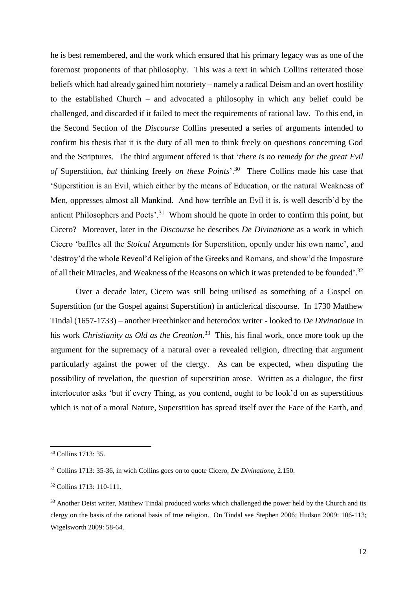he is best remembered, and the work which ensured that his primary legacy was as one of the foremost proponents of that philosophy. This was a text in which Collins reiterated those beliefs which had already gained him notoriety – namely a radical Deism and an overt hostility to the established Church – and advocated a philosophy in which any belief could be challenged, and discarded if it failed to meet the requirements of rational law. To this end, in the Second Section of the *Discourse* Collins presented a series of arguments intended to confirm his thesis that it is the duty of all men to think freely on questions concerning God and the Scriptures. The third argument offered is that '*there is no remedy for the great Evil of* Superstition*, but* thinking freely *on these Points*'.<sup>30</sup> There Collins made his case that 'Superstition is an Evil, which either by the means of Education, or the natural Weakness of Men, oppresses almost all Mankind. And how terrible an Evil it is, is well describ'd by the antient Philosophers and Poets'.<sup>31</sup> Whom should he quote in order to confirm this point, but Cicero? Moreover, later in the *Discourse* he describes *De Divinatione* as a work in which Cicero 'baffles all the *Stoical* Arguments for Superstition, openly under his own name', and 'destroy'd the whole Reveal'd Religion of the Greeks and Romans, and show'd the Imposture of all their Miracles, and Weakness of the Reasons on which it was pretended to be founded'.<sup>32</sup>

Over a decade later, Cicero was still being utilised as something of a Gospel on Superstition (or the Gospel against Superstition) in anticlerical discourse. In 1730 Matthew Tindal (1657-1733) – another Freethinker and heterodox writer - looked to *De Divinatione* in his work *Christianity as Old as the Creation*. 33 This, his final work, once more took up the argument for the supremacy of a natural over a revealed religion, directing that argument particularly against the power of the clergy. As can be expected, when disputing the possibility of revelation, the question of superstition arose. Written as a dialogue, the first interlocutor asks 'but if every Thing, as you contend, ought to be look'd on as superstitious which is not of a moral Nature, Superstition has spread itself over the Face of the Earth, and

<sup>30</sup> Collins 1713: 35.

<sup>31</sup> Collins 1713: 35-36, in wich Collins goes on to quote Cicero, *De Divinatione*, 2.150.

<sup>32</sup> Collins 1713: 110-111.

<sup>&</sup>lt;sup>33</sup> Another Deist writer, Matthew Tindal produced works which challenged the power held by the Church and its clergy on the basis of the rational basis of true religion. On Tindal see Stephen 2006; Hudson 2009: 106-113; Wigelsworth 2009: 58-64.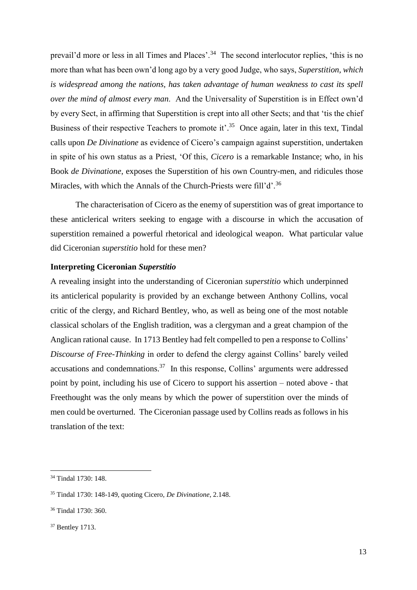prevail'd more or less in all Times and Places'.<sup>34</sup> The second interlocutor replies, 'this is no more than what has been own'd long ago by a very good Judge, who says, *Superstition, which is widespread among the nations, has taken advantage of human weakness to cast its spell over the mind of almost every man*. And the Universality of Superstition is in Effect own'd by every Sect, in affirming that Superstition is crept into all other Sects; and that 'tis the chief Business of their respective Teachers to promote it'.<sup>35</sup> Once again, later in this text, Tindal calls upon *De Divinatione* as evidence of Cicero's campaign against superstition, undertaken in spite of his own status as a Priest, 'Of this, *Cicero* is a remarkable Instance; who, in his Book *de Divinatione*, exposes the Superstition of his own Country-men, and ridicules those Miracles, with which the Annals of the Church-Priests were fill'd'.<sup>36</sup>

The characterisation of Cicero as the enemy of superstition was of great importance to these anticlerical writers seeking to engage with a discourse in which the accusation of superstition remained a powerful rhetorical and ideological weapon. What particular value did Ciceronian *superstitio* hold for these men?

#### **Interpreting Ciceronian** *Superstitio*

A revealing insight into the understanding of Ciceronian *superstitio* which underpinned its anticlerical popularity is provided by an exchange between Anthony Collins, vocal critic of the clergy, and Richard Bentley, who, as well as being one of the most notable classical scholars of the English tradition, was a clergyman and a great champion of the Anglican rational cause. In 1713 Bentley had felt compelled to pen a response to Collins' *Discourse of Free-Thinking* in order to defend the clergy against Collins' barely veiled accusations and condemnations.<sup>37</sup> In this response, Collins' arguments were addressed point by point, including his use of Cicero to support his assertion – noted above - that Freethought was the only means by which the power of superstition over the minds of men could be overturned. The Ciceronian passage used by Collins reads as follows in his translation of the text:

<sup>34</sup> Tindal 1730: 148.

<sup>35</sup> Tindal 1730: 148-149, quoting Cicero, *De Divinatione*, 2.148.

<sup>36</sup> Tindal 1730: 360.

<sup>37</sup> Bentley 1713.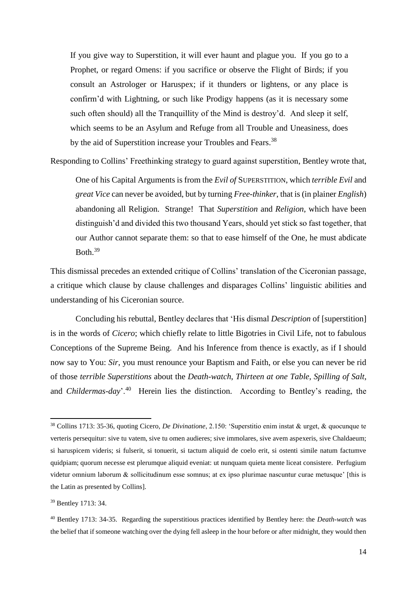If you give way to Superstition, it will ever haunt and plague you. If you go to a Prophet, or regard Omens: if you sacrifice or observe the Flight of Birds; if you consult an Astrologer or Haruspex; if it thunders or lightens, or any place is confirm'd with Lightning, or such like Prodigy happens (as it is necessary some such often should) all the Tranquillity of the Mind is destroy'd. And sleep it self, which seems to be an Asylum and Refuge from all Trouble and Uneasiness, does by the aid of Superstition increase your Troubles and Fears.<sup>38</sup>

Responding to Collins' Freethinking strategy to guard against superstition, Bentley wrote that,

One of his Capital Arguments is from the *Evil of* SUPERSTITION, which *terrible Evil* and *great Vice* can never be avoided, but by turning *Free-thinker*, that is (in plainer *English*) abandoning all Religion. Strange! That *Superstition* and *Religion*, which have been distinguish'd and divided this two thousand Years, should yet stick so fast together, that our Author cannot separate them: so that to ease himself of the One, he must abdicate Both. 39

This dismissal precedes an extended critique of Collins' translation of the Ciceronian passage, a critique which clause by clause challenges and disparages Collins' linguistic abilities and understanding of his Ciceronian source.

Concluding his rebuttal, Bentley declares that 'His dismal *Description* of [superstition] is in the words of *Cicero*; which chiefly relate to little Bigotries in Civil Life, not to fabulous Conceptions of the Supreme Being. And his Inference from thence is exactly, as if I should now say to You: *Sir*, you must renounce your Baptism and Faith, or else you can never be rid of those *terrible Superstitions* about the *Death-watch*, *Thirteen at one Table*, *Spilling of Salt*, and *Childermas-day*'.<sup>40</sup> Herein lies the distinction. According to Bentley's reading, the

**.** 

<sup>38</sup> Collins 1713: 35-36, quoting Cicero, *De Divinatione*, 2.150: 'Superstitio enim instat & urget, & quocunque te verteris persequitur: sive tu vatem, sive tu omen audieres; sive immolares, sive avem aspexeris, sive Chaldaeum; si haruspicem videris; si fulserit, si tonuerit, si tactum aliquid de coelo erit, si ostenti simile natum factumve quidpiam; quorum necesse est plerumque aliquid eveniat: ut nunquam quieta mente liceat consistere. Perfugium videtur omnium laborum & sollicitudinum esse somnus; at ex ipso plurimae nascuntur curae metusque' [this is the Latin as presented by Collins].

<sup>39</sup> Bentley 1713: 34.

<sup>40</sup> Bentley 1713: 34-35. Regarding the superstitious practices identified by Bentley here: the *Death-watch* was the belief that if someone watching over the dying fell asleep in the hour before or after midnight, they would then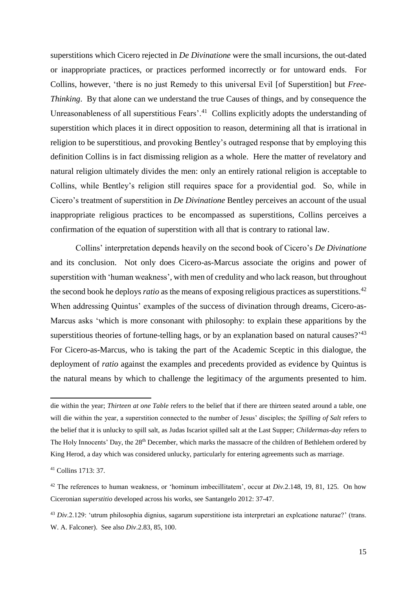superstitions which Cicero rejected in *De Divinatione* were the small incursions, the out-dated or inappropriate practices, or practices performed incorrectly or for untoward ends. For Collins, however, 'there is no just Remedy to this universal Evil [of Superstition] but *Free-Thinking*. By that alone can we understand the true Causes of things, and by consequence the Unreasonableness of all superstitious Fears'.<sup>41</sup> Collins explicitly adopts the understanding of superstition which places it in direct opposition to reason, determining all that is irrational in religion to be superstitious, and provoking Bentley's outraged response that by employing this definition Collins is in fact dismissing religion as a whole. Here the matter of revelatory and natural religion ultimately divides the men: only an entirely rational religion is acceptable to Collins, while Bentley's religion still requires space for a providential god. So, while in Cicero's treatment of superstition in *De Divinatione* Bentley perceives an account of the usual inappropriate religious practices to be encompassed as superstitions, Collins perceives a confirmation of the equation of superstition with all that is contrary to rational law.

Collins' interpretation depends heavily on the second book of Cicero's *De Divinatione* and its conclusion. Not only does Cicero-as-Marcus associate the origins and power of superstition with 'human weakness', with men of credulity and who lack reason, but throughout the second book he deploys *ratio* as the means of exposing religious practices as superstitions.<sup>42</sup> When addressing Quintus' examples of the success of divination through dreams, Cicero-as-Marcus asks 'which is more consonant with philosophy: to explain these apparitions by the superstitious theories of fortune-telling hags, or by an explanation based on natural causes?<sup> $143$ </sup> For Cicero-as-Marcus, who is taking the part of the Academic Sceptic in this dialogue, the deployment of *ratio* against the examples and precedents provided as evidence by Quintus is the natural means by which to challenge the legitimacy of the arguments presented to him.

die within the year; *Thirteen at one Table* refers to the belief that if there are thirteen seated around a table, one will die within the year, a superstition connected to the number of Jesus' disciples; the *Spilling of Salt* refers to the belief that it is unlucky to spill salt, as Judas Iscariot spilled salt at the Last Supper; *Childermas-day* refers to The Holy Innocents' Day, the 28<sup>th</sup> December, which marks the massacre of the children of Bethlehem ordered by King Herod, a day which was considered unlucky, particularly for entering agreements such as marriage.

<sup>41</sup> Collins 1713: 37.

<sup>42</sup> The references to human weakness, or 'hominum imbecillitatem', occur at *Div*.2.148, 19, 81, 125. On how Ciceronian *superstitio* developed across his works, see Santangelo 2012: 37-47.

<sup>43</sup> *Div*.2.129: 'utrum philosophia dignius, sagarum superstitione ista interpretari an explcatione naturae?' (trans. W. A. Falconer). See also *Div*.2.83, 85, 100.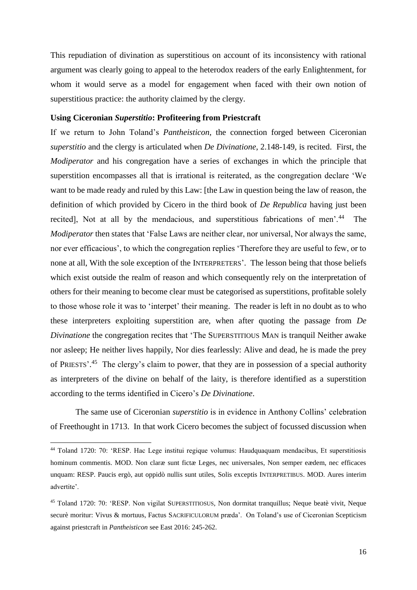This repudiation of divination as superstitious on account of its inconsistency with rational argument was clearly going to appeal to the heterodox readers of the early Enlightenment, for whom it would serve as a model for engagement when faced with their own notion of superstitious practice: the authority claimed by the clergy.

#### **Using Ciceronian** *Superstitio***: Profiteering from Priestcraft**

If we return to John Toland's *Pantheisticon*, the connection forged between Ciceronian *superstitio* and the clergy is articulated when *De Divinatione*, 2.148-149, is recited. First, the *Modiperator* and his congregation have a series of exchanges in which the principle that superstition encompasses all that is irrational is reiterated, as the congregation declare 'We want to be made ready and ruled by this Law: [the Law in question being the law of reason, the definition of which provided by Cicero in the third book of *De Republica* having just been recited], Not at all by the mendacious, and superstitious fabrications of men'.<sup>44</sup> The *Modiperator* then states that 'False Laws are neither clear, nor universal, Nor always the same, nor ever efficacious', to which the congregation replies 'Therefore they are useful to few, or to none at all, With the sole exception of the INTERPRETERS'. The lesson being that those beliefs which exist outside the realm of reason and which consequently rely on the interpretation of others for their meaning to become clear must be categorised as superstitions, profitable solely to those whose role it was to 'interpet' their meaning. The reader is left in no doubt as to who these interpreters exploiting superstition are, when after quoting the passage from *De Divinatione* the congregation recites that 'The SUPERSTITIOUS MAN is tranquil Neither awake nor asleep; He neither lives happily, Nor dies fearlessly: Alive and dead, he is made the prey of PRIESTS'.<sup>45</sup> The clergy's claim to power, that they are in possession of a special authority as interpreters of the divine on behalf of the laity, is therefore identified as a superstition according to the terms identified in Cicero's *De Divinatione*.

The same use of Ciceronian *superstitio* is in evidence in Anthony Collins' celebration of Freethought in 1713. In that work Cicero becomes the subject of focussed discussion when

<sup>44</sup> Toland 1720: 70: 'RESP. Hac Lege institui regique volumus: Haudquaquam mendacibus, Et superstitiosis hominum commentis. MOD. Non claræ sunt fictæ Leges, nec universales, Non semper eædem, nec efficaces unquam: RESP. Paucis ergò, aut oppidò nullis sunt utiles, Solis exceptis INTERPRETIBUS. MOD. Aures interim advertite'.

<sup>45</sup> Toland 1720: 70: 'RESP. Non vigilat SUPERSTITIOSUS, Non dormitat tranquillus; Neque beatè vivit, Neque securè moritur: Vivus & mortuus, Factus SACRIFICULORUM præda'. On Toland's use of Ciceronian Scepticism against priestcraft in *Pantheisticon* see East 2016: 245-262.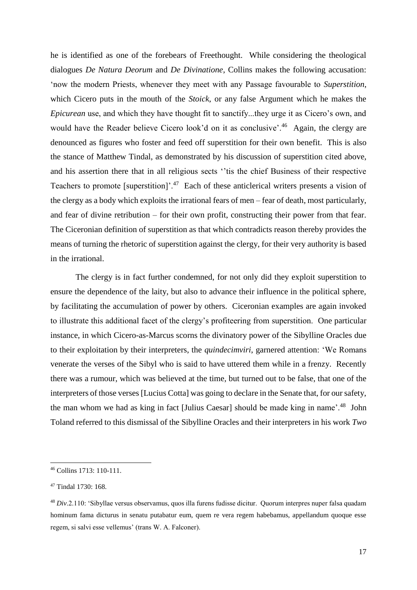he is identified as one of the forebears of Freethought. While considering the theological dialogues *De Natura Deorum* and *De Divinatione*, Collins makes the following accusation: 'now the modern Priests, whenever they meet with any Passage favourable to *Superstition*, which Cicero puts in the mouth of the *Stoick*, or any false Argument which he makes the *Epicurean* use, and which they have thought fit to sanctify...they urge it as Cicero's own, and would have the Reader believe Cicero look'd on it as conclusive'.<sup>46</sup> Again, the clergy are denounced as figures who foster and feed off superstition for their own benefit. This is also the stance of Matthew Tindal, as demonstrated by his discussion of superstition cited above, and his assertion there that in all religious sects ''tis the chief Business of their respective Teachers to promote [superstition]'.<sup>47</sup> Each of these anticlerical writers presents a vision of the clergy as a body which exploits the irrational fears of men – fear of death, most particularly, and fear of divine retribution – for their own profit, constructing their power from that fear. The Ciceronian definition of superstition as that which contradicts reason thereby provides the means of turning the rhetoric of superstition against the clergy, for their very authority is based in the irrational.

The clergy is in fact further condemned, for not only did they exploit superstition to ensure the dependence of the laity, but also to advance their influence in the political sphere, by facilitating the accumulation of power by others. Ciceronian examples are again invoked to illustrate this additional facet of the clergy's profiteering from superstition. One particular instance, in which Cicero-as-Marcus scorns the divinatory power of the Sibylline Oracles due to their exploitation by their interpreters, the *quindecimviri*, garnered attention: 'We Romans venerate the verses of the Sibyl who is said to have uttered them while in a frenzy. Recently there was a rumour, which was believed at the time, but turned out to be false, that one of the interpreters of those verses [Lucius Cotta] was going to declare in the Senate that, for our safety, the man whom we had as king in fact [Julius Caesar] should be made king in name'.<sup>48</sup> John Toland referred to this dismissal of the Sibylline Oracles and their interpreters in his work *Two* 

<sup>46</sup> Collins 1713: 110-111.

<sup>47</sup> Tindal 1730: 168.

<sup>48</sup> *Div*.2.110: 'Sibyllae versus observamus, quos illa furens fudisse dicitur. Quorum interpres nuper falsa quadam hominum fama dicturus in senatu putabatur eum, quem re vera regem habebamus, appellandum quoque esse regem, si salvi esse vellemus' (trans W. A. Falconer).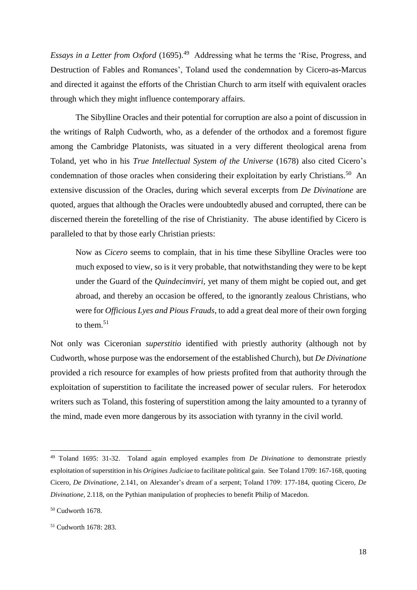*Essays in a Letter from Oxford* (1695). <sup>49</sup> Addressing what he terms the 'Rise, Progress, and Destruction of Fables and Romances', Toland used the condemnation by Cicero-as-Marcus and directed it against the efforts of the Christian Church to arm itself with equivalent oracles through which they might influence contemporary affairs.

The Sibylline Oracles and their potential for corruption are also a point of discussion in the writings of Ralph Cudworth, who, as a defender of the orthodox and a foremost figure among the Cambridge Platonists, was situated in a very different theological arena from Toland, yet who in his *True Intellectual System of the Universe* (1678) also cited Cicero's condemnation of those oracles when considering their exploitation by early Christians.<sup>50</sup> An extensive discussion of the Oracles, during which several excerpts from *De Divinatione* are quoted, argues that although the Oracles were undoubtedly abused and corrupted, there can be discerned therein the foretelling of the rise of Christianity. The abuse identified by Cicero is paralleled to that by those early Christian priests:

Now as *Cicero* seems to complain, that in his time these Sibylline Oracles were too much exposed to view, so is it very probable, that notwithstanding they were to be kept under the Guard of the *Quindecimviri*, yet many of them might be copied out, and get abroad, and thereby an occasion be offered, to the ignorantly zealous Christians, who were for *Officious Lyes and Pious Frauds*, to add a great deal more of their own forging to them. 51

Not only was Ciceronian *superstitio* identified with priestly authority (although not by Cudworth, whose purpose was the endorsement of the established Church), but *De Divinatione* provided a rich resource for examples of how priests profited from that authority through the exploitation of superstition to facilitate the increased power of secular rulers. For heterodox writers such as Toland, this fostering of superstition among the laity amounted to a tyranny of the mind, made even more dangerous by its association with tyranny in the civil world.

<sup>49</sup> Toland 1695: 31-32. Toland again employed examples from *De Divinatione* to demonstrate priestly exploitation of superstition in his *Origines Judiciae* to facilitate political gain. See Toland 1709: 167-168, quoting Cicero, *De Divinatione*, 2.141, on Alexander's dream of a serpent; Toland 1709: 177-184, quoting Cicero, *De Divinatione*, 2.118, on the Pythian manipulation of prophecies to benefit Philip of Macedon.

<sup>50</sup> Cudworth 1678.

<sup>51</sup> Cudworth 1678: 283.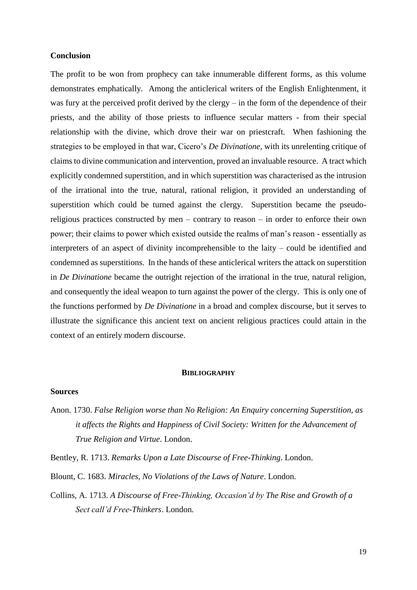#### **Conclusion**

The profit to be won from prophecy can take innumerable different forms, as this volume demonstrates emphatically. Among the anticlerical writers of the English Enlightenment, it was fury at the perceived profit derived by the clergy – in the form of the dependence of their priests, and the ability of those priests to influence secular matters - from their special relationship with the divine, which drove their war on priestcraft. When fashioning the strategies to be employed in that war, Cicero's *De Divinatione*, with its unrelenting critique of claims to divine communication and intervention, proved an invaluable resource. A tract which explicitly condemned superstition, and in which superstition was characterised as the intrusion of the irrational into the true, natural, rational religion, it provided an understanding of superstition which could be turned against the clergy. Superstition became the pseudoreligious practices constructed by men – contrary to reason – in order to enforce their own power; their claims to power which existed outside the realms of man's reason - essentially as interpreters of an aspect of divinity incomprehensible to the laity – could be identified and condemned as superstitions. In the hands of these anticlerical writers the attack on superstition in *De Divinatione* became the outright rejection of the irrational in the true, natural religion, and consequently the ideal weapon to turn against the power of the clergy. This is only one of the functions performed by *De Divinatione* in a broad and complex discourse, but it serves to illustrate the significance this ancient text on ancient religious practices could attain in the context of an entirely modern discourse.

#### **BIBLIOGRAPHY**

#### **Sources**

Anon. 1730. *False Religion worse than No Religion: An Enquiry concerning Superstition, as it affects the Rights and Happiness of Civil Society: Written for the Advancement of True Religion and Virtue*. London.

Bentley, R. 1713. *Remarks Upon a Late Discourse of Free-Thinking*. London.

- Blount, C. 1683. *Miracles, No Violations of the Laws of Nature*. London.
- Collins, A. 1713. *A Discourse of Free-Thinking, Occasion'd by The Rise and Growth of a Sect call'd Free-Thinkers*. London.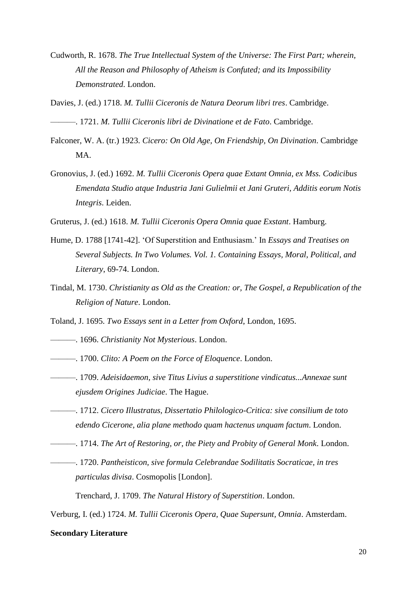- Cudworth, R. 1678. *The True Intellectual System of the Universe: The First Part; wherein, All the Reason and Philosophy of Atheism is Confuted; and its Impossibility Demonstrated*. London.
- Davies, J. (ed.) 1718. *M. Tullii Ciceronis de Natura Deorum libri tres*. Cambridge.
- ———. 1721. *M. Tullii Ciceronis libri de Divinatione et de Fato*. Cambridge.
- Falconer, W. A. (tr.) 1923. *Cicero: On Old Age, On Friendship, On Divination*. Cambridge MA.
- Gronovius, J. (ed.) 1692. *M. Tullii Ciceronis Opera quae Extant Omnia, ex Mss. Codicibus Emendata Studio atque Industria Jani Gulielmii et Jani Gruteri, Additis eorum Notis Integris*. Leiden.
- Gruterus, J. (ed.) 1618. *M. Tullii Ciceronis Opera Omnia quae Exstant*. Hamburg.
- Hume, D. 1788 [1741-42]. 'Of Superstition and Enthusiasm.' In *Essays and Treatises on Several Subjects. In Two Volumes. Vol. 1. Containing Essays, Moral, Political, and Literary*, 69-74. London.
- Tindal, M. 1730. *Christianity as Old as the Creation: or, The Gospel, a Republication of the Religion of Nature*. London.

Toland, J. 1695. *Two Essays sent in a Letter from Oxford*, London, 1695.

———. 1696. *Christianity Not Mysterious*. London.

- ———. 1709. *Adeisidaemon, sive Titus Livius a superstitione vindicatus...Annexae sunt ejusdem Origines Judiciae*. The Hague.
- ———. 1712. *Cicero Illustratus, Dissertatio Philologico-Critica: sive consilium de toto edendo Cicerone, alia plane methodo quam hactenus unquam factum*. London.
- ———. 1714. *The Art of Restoring, or, the Piety and Probity of General Monk*. London.
- ———. 1720. *Pantheisticon, sive formula Celebrandae Sodilitatis Socraticae, in tres particulas divisa*. Cosmopolis [London].

Trenchard, J. 1709. *The Natural History of Superstition*. London.

Verburg, I. (ed.) 1724. *M. Tullii Ciceronis Opera, Quae Supersunt, Omnia*. Amsterdam.

#### **Secondary Literature**

<sup>———. 1700.</sup> *Clito: A Poem on the Force of Eloquence*. London.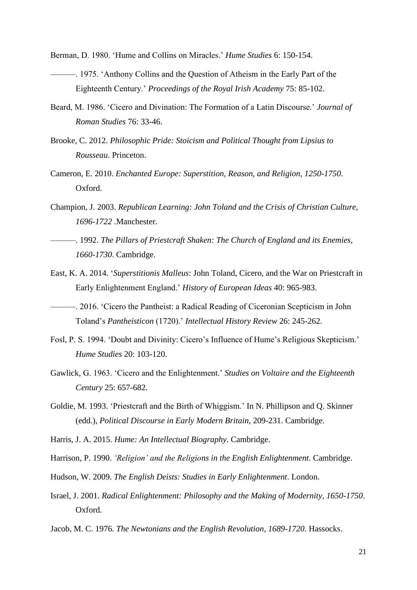- Berman, D. 1980. 'Hume and Collins on Miracles.' *Hume Studies* 6: 150-154.
- ———. 1975. 'Anthony Collins and the Question of Atheism in the Early Part of the Eighteenth Century.' *Proceedings of the Royal Irish Academy* 75: 85-102.
- Beard, M. 1986. 'Cicero and Divination: The Formation of a Latin Discourse.' *Journal of Roman Studies* 76: 33-46.
- Brooke, C. 2012. *Philosophic Pride: Stoicism and Political Thought from Lipsius to Rousseau*. Princeton.
- Cameron, E. 2010. *Enchanted Europe: Superstition, Reason, and Religion, 1250-1750*. Oxford.
- Champion, J. 2003. *Republican Learning: John Toland and the Crisis of Christian Culture, 1696-1722 .*Manchester.
- ———. 1992. *The Pillars of Priestcraft Shaken: The Church of England and its Enemies, 1660-1730*. Cambridge.
- East, K. A. 2014. '*Superstitionis Malleus*: John Toland, Cicero, and the War on Priestcraft in Early Enlightenment England.' *History of European Ideas* 40: 965-983.
- ———. 2016. 'Cicero the Pantheist: a Radical Reading of Ciceronian Scepticism in John Toland's *Pantheisticon* (1720).' *Intellectual History Review* 26: 245-262.
- Fosl, P. S. 1994. 'Doubt and Divinity: Cicero's Influence of Hume's Religious Skepticism.' *Hume Studies* 20: 103-120.
- Gawlick, G. 1963. 'Cicero and the Enlightenment.' *Studies on Voltaire and the Eighteenth Century* 25: 657-682.
- Goldie, M. 1993. 'Priestcraft and the Birth of Whiggism.' In N. Phillipson and Q. Skinner (edd.), *Political Discourse in Early Modern Britain*, 209-231. Cambridge.
- Harris, J. A. 2015. *Hume: An Intellectual Biography*. Cambridge.

Harrison, P. 1990. *'Religion' and the Religions in the English Enlightenment*. Cambridge.

- Hudson, W. 2009. *The English Deists: Studies in Early Enlightenment*. London.
- Israel, J. 2001. *Radical Enlightenment: Philosophy and the Making of Modernity, 1650-1750*. Oxford.
- Jacob, M. C. 1976. *The Newtonians and the English Revolution, 1689-1720*. Hassocks.